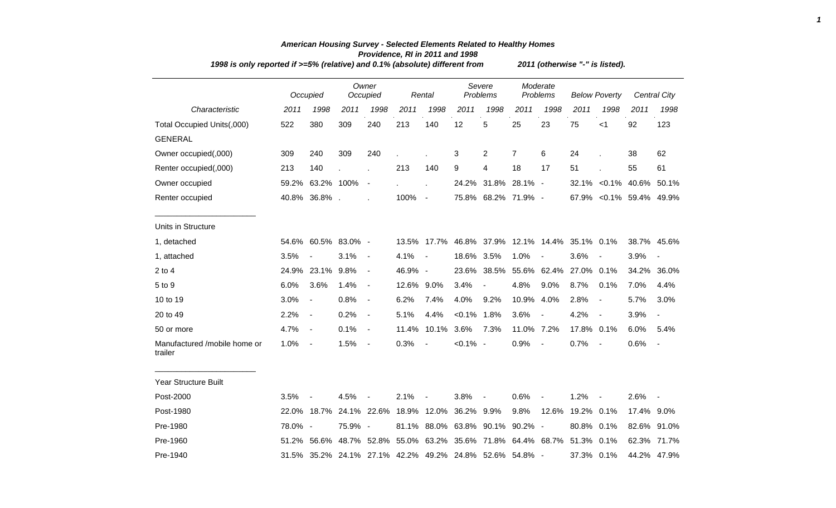|                                         | 1998 is only reported if >=5% (relative) and 0.1% (absolute) different from |                |         |                   |            |                          |             |                                                         |                |                      | 2011 (otherwise "-" is listed). |                          |             |                          |  |  |  |  |  |
|-----------------------------------------|-----------------------------------------------------------------------------|----------------|---------|-------------------|------------|--------------------------|-------------|---------------------------------------------------------|----------------|----------------------|---------------------------------|--------------------------|-------------|--------------------------|--|--|--|--|--|
|                                         |                                                                             | Occupied       |         | Owner<br>Occupied |            | Rental                   |             | Severe<br>Problems                                      |                | Moderate<br>Problems | <b>Below Poverty</b>            |                          |             | Central City             |  |  |  |  |  |
| Characteristic                          | 2011                                                                        | 1998           | 2011    | 1998              | 2011       | 1998                     | 2011        | 1998                                                    | 2011           | 1998                 | 2011                            | 1998                     | 2011        | 1998                     |  |  |  |  |  |
| Total Occupied Units(,000)              | 522                                                                         | 380            | 309     | 240               | 213        | 140                      | 12          | 5                                                       | 25             | 23                   | 75                              | $<$ 1                    | 92          | 123                      |  |  |  |  |  |
| <b>GENERAL</b>                          |                                                                             |                |         |                   |            |                          |             |                                                         |                |                      |                                 |                          |             |                          |  |  |  |  |  |
| Owner occupied(,000)                    | 309                                                                         | 240            | 309     | 240               |            |                          | 3           | 2                                                       | $\overline{7}$ | 6                    | 24                              |                          | 38          | 62                       |  |  |  |  |  |
| Renter occupied(,000)                   | 213                                                                         | 140            |         |                   | 213        | 140                      | 9           | 4                                                       | 18             | 17                   | 51                              |                          | 55          | 61                       |  |  |  |  |  |
| Owner occupied                          | 59.2%                                                                       | 63.2% 100%     |         | $\blacksquare$    |            |                          |             | 24.2% 31.8% 28.1% -                                     |                |                      |                                 | 32.1% < 0.1% 40.6% 50.1% |             |                          |  |  |  |  |  |
| Renter occupied                         |                                                                             | 40.8% 36.8% .  |         |                   | 100%       | $\sim$ $-$               |             | 75.8% 68.2% 71.9% -                                     |                |                      |                                 | 67.9% < 0.1% 59.4% 49.9% |             |                          |  |  |  |  |  |
| Units in Structure                      |                                                                             |                |         |                   |            |                          |             |                                                         |                |                      |                                 |                          |             |                          |  |  |  |  |  |
| 1, detached                             | 54.6%                                                                       | 60.5% 83.0% -  |         |                   |            | 13.5% 17.7%              |             | 46.8% 37.9% 12.1% 14.4% 35.1% 0.1%                      |                |                      |                                 |                          |             | 38.7% 45.6%              |  |  |  |  |  |
| 1, attached                             | 3.5%                                                                        |                | 3.1%    | $\blacksquare$    | 4.1%       | $\overline{\phantom{a}}$ | 18.6% 3.5%  |                                                         | 1.0%           |                      | 3.6%                            |                          | 3.9%        | $\overline{\phantom{a}}$ |  |  |  |  |  |
| $2$ to 4                                | 24.9%                                                                       | 23.1%          | 9.8%    | $\blacksquare$    | 46.9% -    |                          | 23.6%       | 38.5%                                                   |                | 55.6% 62.4%          | 27.0%                           | 0.1%                     | 34.2%       | 36.0%                    |  |  |  |  |  |
| 5 to 9                                  | 6.0%                                                                        | 3.6%           | 1.4%    | $\blacksquare$    | 12.6% 9.0% |                          | 3.4%        | $\overline{\phantom{a}}$                                | 4.8%           | 9.0%                 | 8.7%                            | 0.1%                     | 7.0%        | 4.4%                     |  |  |  |  |  |
| 10 to 19                                | 3.0%                                                                        | $\blacksquare$ | 0.8%    | $\blacksquare$    | 6.2%       | 7.4%                     | 4.0%        | 9.2%                                                    | 10.9% 4.0%     |                      | 2.8%                            | $\blacksquare$           | 5.7%        | 3.0%                     |  |  |  |  |  |
| 20 to 49                                | 2.2%                                                                        | $\blacksquare$ | 0.2%    | $\blacksquare$    | 5.1%       | 4.4%                     | $< 0.1\%$   | 1.8%                                                    | 3.6%           |                      | 4.2%                            | $\blacksquare$           | 3.9%        | $\overline{\phantom{a}}$ |  |  |  |  |  |
| 50 or more                              | 4.7%                                                                        | $\blacksquare$ | 0.1%    | $\blacksquare$    | 11.4%      | 10.1%                    | 3.6%        | 7.3%                                                    | 11.0% 7.2%     |                      | 17.8%                           | 0.1%                     | 6.0%        | 5.4%                     |  |  |  |  |  |
| Manufactured /mobile home or<br>trailer | 1.0%                                                                        | $\sim$         | 1.5%    | $\sim$ $-$        | 0.3%       | $\sim$                   | $< 0.1\%$ - |                                                         | 0.9%           | $\blacksquare$       | 0.7%                            | $\overline{\phantom{a}}$ | 0.6%        | $\blacksquare$           |  |  |  |  |  |
| <b>Year Structure Built</b>             |                                                                             |                |         |                   |            |                          |             |                                                         |                |                      |                                 |                          |             |                          |  |  |  |  |  |
| Post-2000                               | 3.5%                                                                        |                | 4.5%    |                   | 2.1%       |                          | 3.8%        |                                                         | 0.6%           |                      | 1.2%                            |                          | 2.6%        | $\blacksquare$           |  |  |  |  |  |
| Post-1980                               |                                                                             | 22.0% 18.7%    |         | 24.1% 22.6%       |            | 18.9% 12.0%              | 36.2% 9.9%  |                                                         | 9.8%           | 12.6%                | 19.2% 0.1%                      |                          | 17.4% 9.0%  |                          |  |  |  |  |  |
| Pre-1980                                | 78.0% -                                                                     |                | 75.9% - |                   |            |                          |             | 81.1% 88.0% 63.8% 90.1%                                 | $90.2\%$ -     |                      | 80.8%                           | 0.1%                     | 82.6% 91.0% |                          |  |  |  |  |  |
| Pre-1960                                |                                                                             | 51.2% 56.6%    |         | 48.7% 52.8%       |            |                          |             | 55.0% 63.2% 35.6% 71.8% 64.4% 68.7%                     |                |                      | 51.3%                           | 0.1%                     | 62.3% 71.7% |                          |  |  |  |  |  |
| Pre-1940                                |                                                                             |                |         |                   |            |                          |             | 31.5% 35.2% 24.1% 27.1% 42.2% 49.2% 24.8% 52.6% 54.8% - |                |                      | 37.3% 0.1%                      |                          |             | 44.2% 47.9%              |  |  |  |  |  |

## *American Housing Survey - Selected Elements Related to Healthy Homes Providence, RI in 2011 and 1998*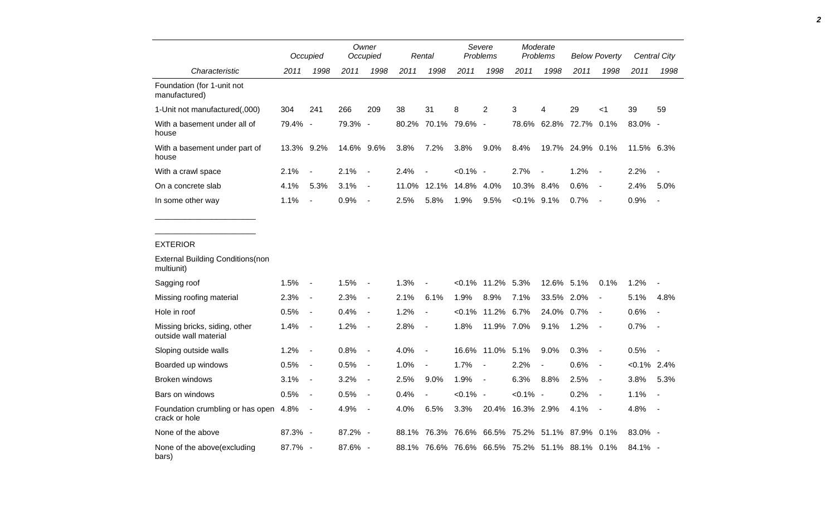|                                                        |            | Occupied                 |            | Owner<br>Occupied        |       | Rental                   |                  | Severe<br>Problems  |                         | Moderate<br>Problems                           |                  | <b>Below Poverty</b>     |                | Central City             |
|--------------------------------------------------------|------------|--------------------------|------------|--------------------------|-------|--------------------------|------------------|---------------------|-------------------------|------------------------------------------------|------------------|--------------------------|----------------|--------------------------|
| Characteristic                                         | 2011       | 1998                     | 2011       | 1998                     | 2011  | 1998                     | 2011             | 1998                | 2011                    | 1998                                           | 2011             | 1998                     | 2011           | 1998                     |
| Foundation (for 1-unit not<br>manufactured)            |            |                          |            |                          |       |                          |                  |                     |                         |                                                |                  |                          |                |                          |
| 1-Unit not manufactured(,000)                          | 304        | 241                      | 266        | 209                      | 38    | 31                       | 8                | 2                   | 3                       | 4                                              | 29               | $<$ 1                    | 39             | 59                       |
| With a basement under all of<br>house                  | 79.4% -    |                          | 79.3% -    |                          | 80.2% |                          | 70.1% 79.6% -    |                     | 78.6%                   | 62.8%                                          | 72.7% 0.1%       |                          | 83.0% -        |                          |
| With a basement under part of<br>house                 | 13.3% 9.2% |                          | 14.6% 9.6% |                          | 3.8%  | 7.2%                     | 3.8%             | 9.0%                | 8.4%                    |                                                | 19.7% 24.9% 0.1% |                          | 11.5% 6.3%     |                          |
| With a crawl space                                     | 2.1%       | $\overline{\phantom{a}}$ | 2.1%       | $\blacksquare$           | 2.4%  | $\overline{\phantom{a}}$ | $< 0.1\%$ -      |                     | 2.7%                    | $\blacksquare$                                 | 1.2%             | $\overline{\phantom{a}}$ | 2.2%           | $\blacksquare$           |
| On a concrete slab                                     | 4.1%       | 5.3%                     | 3.1%       | $\blacksquare$           | 11.0% |                          | 12.1% 14.8% 4.0% |                     | 10.3% 8.4%              |                                                | 0.6%             | $\blacksquare$           | 2.4%           | 5.0%                     |
| In some other way                                      | 1.1%       |                          | 0.9%       | $\blacksquare$           | 2.5%  | 5.8%                     | 1.9%             | 9.5%                | $< 0.1\%$ 9.1%          |                                                | 0.7%             | $\overline{\phantom{a}}$ | 0.9%           | $\overline{\phantom{a}}$ |
|                                                        |            |                          |            |                          |       |                          |                  |                     |                         |                                                |                  |                          |                |                          |
| <b>EXTERIOR</b>                                        |            |                          |            |                          |       |                          |                  |                     |                         |                                                |                  |                          |                |                          |
| <b>External Building Conditions (non</b><br>multiunit) |            |                          |            |                          |       |                          |                  |                     |                         |                                                |                  |                          |                |                          |
| Sagging roof                                           | 1.5%       | $\sim$                   | 1.5%       | $\overline{\phantom{a}}$ | 1.3%  | $\overline{\phantom{a}}$ |                  | $<0.1\%$ 11.2% 5.3% |                         | 12.6% 5.1%                                     |                  | 0.1%                     | 1.2%           |                          |
| Missing roofing material                               | 2.3%       | $\blacksquare$           | 2.3%       | $\blacksquare$           | 2.1%  | 6.1%                     | 1.9%             | 8.9%                | 7.1%                    | 33.5% 2.0%                                     |                  | $\blacksquare$           | 5.1%           | 4.8%                     |
| Hole in roof                                           | 0.5%       | $\blacksquare$           | 0.4%       | $\blacksquare$           | 1.2%  | $\overline{\phantom{a}}$ |                  | $<0.1\%$ 11.2% 6.7% |                         | 24.0%                                          | $0.7\%$          | $\overline{\phantom{a}}$ | 0.6%           | $\blacksquare$           |
| Missing bricks, siding, other<br>outside wall material | $1.4\%$    | $\blacksquare$           | 1.2%       | $\overline{\phantom{a}}$ | 2.8%  | $\blacksquare$           | 1.8%             | 11.9% 7.0%          |                         | 9.1%                                           | 1.2%             | $\blacksquare$           | 0.7%           | $\overline{\phantom{a}}$ |
| Sloping outside walls                                  | 1.2%       | $\overline{\phantom{a}}$ | 0.8%       | $\overline{\phantom{a}}$ | 4.0%  | $\overline{\phantom{a}}$ |                  | 16.6% 11.0% 5.1%    |                         | 9.0%                                           | 0.3%             | $\blacksquare$           | 0.5%           | $\overline{a}$           |
| Boarded up windows                                     | 0.5%       | $\overline{\phantom{a}}$ | 0.5%       | $\blacksquare$           | 1.0%  | $\overline{\phantom{a}}$ | 1.7%             | $\sim$              | 2.2%                    | $\blacksquare$                                 | 0.6%             | $\overline{\phantom{a}}$ | $< 0.1\%$ 2.4% |                          |
| Broken windows                                         | 3.1%       | $\blacksquare$           | 3.2%       | $\blacksquare$           | 2.5%  | 9.0%                     | 1.9%             | $\sim$ $-$          | 6.3%                    | 8.8%                                           | 2.5%             | $\blacksquare$           | 3.8%           | 5.3%                     |
| Bars on windows                                        | 0.5%       | $\blacksquare$           | 0.5%       | $\blacksquare$           | 0.4%  | $\blacksquare$           | $< 0.1\%$ -      |                     | $< 0.1\%$ -             |                                                | 0.2%             | $\blacksquare$           | 1.1%           | $\overline{\phantom{a}}$ |
| Foundation crumbling or has open 4.8%<br>crack or hole |            | $\blacksquare$           | 4.9%       | $\blacksquare$           | 4.0%  | 6.5%                     | 3.3%             | 20.4%               | 16.3% 2.9%              |                                                | 4.1%             | $\overline{\phantom{a}}$ | 4.8%           | $\blacksquare$           |
| None of the above                                      | 87.3% -    |                          | 87.2% -    |                          | 88.1% |                          |                  |                     | 76.3% 76.6% 66.5% 75.2% | 51.1%                                          | 87.9% 0.1%       |                          | 83.0% -        |                          |
| None of the above(excluding<br>bars)                   | 87.7% -    |                          | $87.6\%$ - |                          |       |                          |                  |                     |                         | 88.1% 76.6% 76.6% 66.5% 75.2% 51.1% 88.1% 0.1% |                  |                          | $84.1\%$ -     |                          |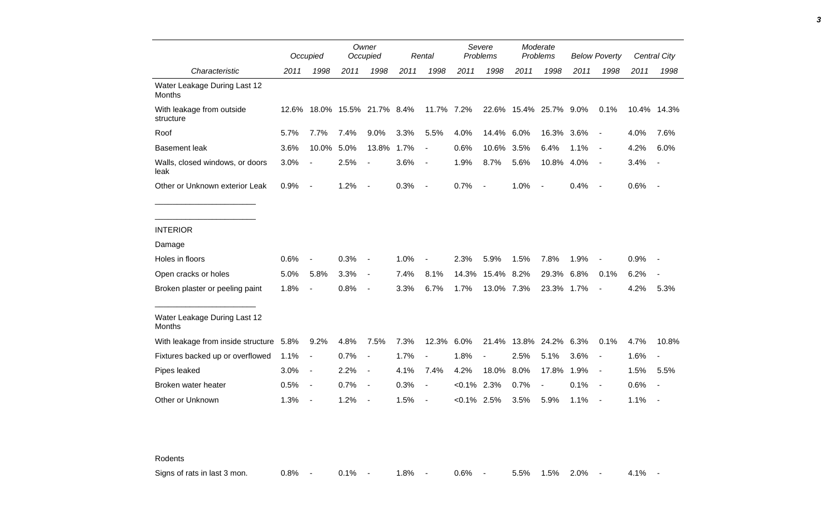|                                               |      | Occupied                 |                              | Owner<br>Occupied        |      | Rental                   |                | Severe<br>Problems       |                        | Moderate<br>Problems     |      | <b>Below Poverty</b>     |             | <b>Central City</b>      |
|-----------------------------------------------|------|--------------------------|------------------------------|--------------------------|------|--------------------------|----------------|--------------------------|------------------------|--------------------------|------|--------------------------|-------------|--------------------------|
| Characteristic                                | 2011 | 1998                     | 2011                         | 1998                     | 2011 | 1998                     | 2011           | 1998                     | 2011                   | 1998                     | 2011 | 1998                     | 2011        | 1998                     |
| Water Leakage During Last 12<br>Months        |      |                          |                              |                          |      |                          |                |                          |                        |                          |      |                          |             |                          |
| With leakage from outside<br>structure        |      |                          | 12.6% 18.0% 15.5% 21.7% 8.4% |                          |      | 11.7% 7.2%               |                |                          | 22.6% 15.4% 25.7% 9.0% |                          |      | 0.1%                     | 10.4% 14.3% |                          |
| Roof                                          | 5.7% | 7.7%                     | 7.4%                         | 9.0%                     | 3.3% | 5.5%                     | 4.0%           | 14.4%                    | 6.0%                   | 16.3%                    | 3.6% | $\blacksquare$           | 4.0%        | 7.6%                     |
| <b>Basement leak</b>                          | 3.6% | 10.0%                    | 5.0%                         | 13.8%                    | 1.7% | $\overline{\phantom{a}}$ | 0.6%           | 10.6%                    | 3.5%                   | 6.4%                     | 1.1% | $\overline{\phantom{a}}$ | 4.2%        | 6.0%                     |
| Walls, closed windows, or doors<br>leak       | 3.0% | $\blacksquare$           | 2.5%                         | $\overline{\phantom{a}}$ | 3.6% | $\overline{\phantom{a}}$ | 1.9%           | 8.7%                     | 5.6%                   | 10.8% 4.0%               |      | $\overline{\phantom{a}}$ | 3.4%        | $\sim$                   |
| Other or Unknown exterior Leak                | 0.9% | $\sim$                   | 1.2%                         | $\sim$                   | 0.3% | $\blacksquare$           | 0.7%           | $\overline{\phantom{a}}$ | 1.0%                   | $\overline{\phantom{a}}$ | 0.4% | $\sim$                   | 0.6%        | $\sim$ $-$               |
| <b>INTERIOR</b>                               |      |                          |                              |                          |      |                          |                |                          |                        |                          |      |                          |             |                          |
| Damage                                        |      |                          |                              |                          |      |                          |                |                          |                        |                          |      |                          |             |                          |
| Holes in floors                               | 0.6% | $\overline{\phantom{a}}$ | 0.3%                         | $\overline{\phantom{a}}$ | 1.0% |                          | 2.3%           | 5.9%                     | 1.5%                   | 7.8%                     | 1.9% |                          | 0.9%        |                          |
| Open cracks or holes                          | 5.0% | 5.8%                     | 3.3%                         | $\blacksquare$           | 7.4% | 8.1%                     | 14.3%          | 15.4% 8.2%               |                        | 29.3%                    | 6.8% | 0.1%                     | 6.2%        | $\blacksquare$           |
| Broken plaster or peeling paint               | 1.8% | $\blacksquare$           | 0.8%                         | $\overline{\phantom{a}}$ | 3.3% | 6.7%                     | 1.7%           | 13.0% 7.3%               |                        | 23.3% 1.7%               |      | $\blacksquare$           | 4.2%        | 5.3%                     |
| Water Leakage During Last 12<br><b>Months</b> |      |                          |                              |                          |      |                          |                |                          |                        |                          |      |                          |             |                          |
| With leakage from inside structure 5.8%       |      | 9.2%                     | 4.8%                         | 7.5%                     | 7.3% | 12.3%                    | 6.0%           | 21.4%                    | 13.8%                  | 24.2%                    | 6.3% | 0.1%                     | 4.7%        | 10.8%                    |
| Fixtures backed up or overflowed              | 1.1% | $\blacksquare$           | 0.7%                         | $\overline{\phantom{a}}$ | 1.7% | $\overline{a}$           | 1.8%           | $\blacksquare$           | 2.5%                   | 5.1%                     | 3.6% | $\overline{\phantom{a}}$ | 1.6%        | $\overline{\phantom{a}}$ |
| Pipes leaked                                  | 3.0% | $\sim$                   | 2.2%                         | $\blacksquare$           | 4.1% | 7.4%                     | 4.2%           | 18.0%                    | 8.0%                   | 17.8%                    | 1.9% | $\blacksquare$           | 1.5%        | 5.5%                     |
| Broken water heater                           | 0.5% | $\sim$                   | 0.7%                         | $\overline{\phantom{a}}$ | 0.3% | $\blacksquare$           | $< 0.1\%$      | 2.3%                     | 0.7%                   |                          | 0.1% | $\sim$                   | 0.6%        | $\overline{\phantom{a}}$ |
| Other or Unknown                              | 1.3% | $\overline{\phantom{a}}$ | 1.2%                         |                          | 1.5% |                          | $< 0.1\%$ 2.5% |                          | 3.5%                   | 5.9%                     | 1.1% |                          | 1.1%        | $\overline{\phantom{a}}$ |

Rodents

Signs of rats in last 3 mon. <br>
0.8% - 0.8% - 1.8% - 0.6% - 5.5% 1.5% 2.0% - 4.1% -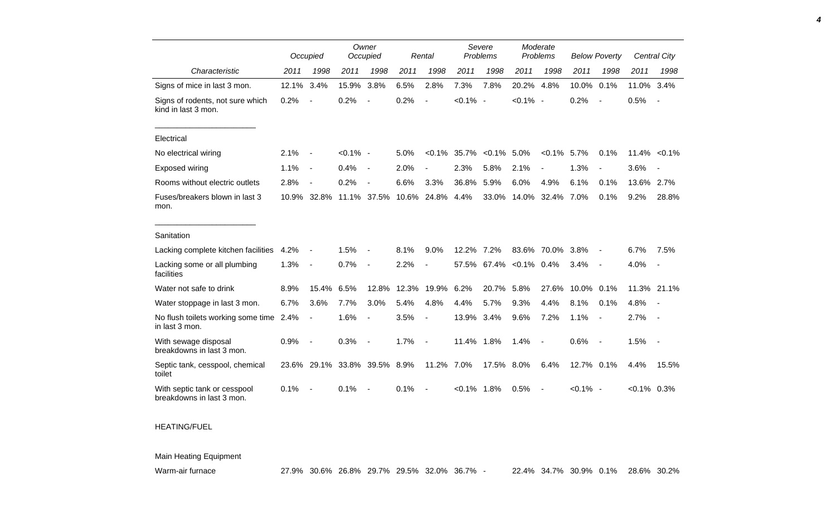|                                                           |       | Occupied       |             | Owner<br>Occupied        |       | Rental                   | Severe<br>Problems |           | Moderate<br>Problems |                          | <b>Below Poverty</b> |                          |                  | <b>Central City</b>      |
|-----------------------------------------------------------|-------|----------------|-------------|--------------------------|-------|--------------------------|--------------------|-----------|----------------------|--------------------------|----------------------|--------------------------|------------------|--------------------------|
| Characteristic                                            | 2011  | 1998           | 2011        | 1998                     | 2011  | 1998                     | 2011               | 1998      | 2011                 | 1998                     | 2011                 | 1998                     | 2011             | 1998                     |
| Signs of mice in last 3 mon.                              | 12.1% | 3.4%           | 15.9%       | 3.8%                     | 6.5%  | 2.8%                     | 7.3%               | 7.8%      | 20.2%                | 4.8%                     | 10.0%                | 0.1%                     | 11.0%            | 3.4%                     |
| Signs of rodents, not sure which<br>kind in last 3 mon.   | 0.2%  |                | 0.2%        |                          | 0.2%  |                          | $< 0.1\%$ -        |           | $< 0.1\%$ -          |                          | 0.2%                 | $\overline{\phantom{a}}$ | 0.5%             |                          |
| Electrical                                                |       |                |             |                          |       |                          |                    |           |                      |                          |                      |                          |                  |                          |
| No electrical wiring                                      | 2.1%  |                | $< 0.1\%$ - |                          | 5.0%  | $< 0.1\%$                | 35.7%              | $< 0.1\%$ | 5.0%                 | $< 0.1\%$                | 5.7%                 | 0.1%                     | $11.4\% < 0.1\%$ |                          |
| Exposed wiring                                            | 1.1%  | $\blacksquare$ | 0.4%        | $\blacksquare$           | 2.0%  |                          | 2.3%               | 5.8%      | 2.1%                 |                          | 1.3%                 | $\overline{a}$           | 3.6%             |                          |
| Rooms without electric outlets                            | 2.8%  |                | 0.2%        |                          | 6.6%  | 3.3%                     | 36.8%              | 5.9%      | 6.0%                 | 4.9%                     | 6.1%                 | 0.1%                     | 13.6%            | 2.7%                     |
| Fuses/breakers blown in last 3<br>mon.                    | 10.9% | 32.8%          |             | 11.1% 37.5%              | 10.6% | 24.8%                    | 4.4%               | 33.0%     | 14.0%                | 32.4%                    | 7.0%                 | 0.1%                     | 9.2%             | 28.8%                    |
| Sanitation                                                |       |                |             |                          |       |                          |                    |           |                      |                          |                      |                          |                  |                          |
| Lacking complete kitchen facilities                       | 4.2%  |                | 1.5%        |                          | 8.1%  | 9.0%                     | 12.2%              | 7.2%      | 83.6%                | 70.0%                    | 3.8%                 |                          | 6.7%             | 7.5%                     |
| Lacking some or all plumbing<br>facilities                | 1.3%  | $\overline{a}$ | 0.7%        | $\blacksquare$           | 2.2%  |                          | 57.5%              | 67.4%     | $< 0.1\%$ 0.4%       |                          | 3.4%                 | $\overline{\phantom{a}}$ | 4.0%             | $\overline{\phantom{a}}$ |
| Water not safe to drink                                   | 8.9%  | 15.4%          | 6.5%        | 12.8%                    | 12.3% | 19.9%                    | 6.2%               | 20.7%     | 5.8%                 | 27.6%                    | 10.0%                | 0.1%                     | 11.3% 21.1%      |                          |
| Water stoppage in last 3 mon.                             | 6.7%  | 3.6%           | 7.7%        | 3.0%                     | 5.4%  | 4.8%                     | 4.4%               | 5.7%      | 9.3%                 | 4.4%                     | 8.1%                 | 0.1%                     | 4.8%             |                          |
| No flush toilets working some time 2.4%<br>in last 3 mon. |       | $\overline{a}$ | 1.6%        | $\blacksquare$           | 3.5%  | $\overline{\phantom{a}}$ | 13.9%              | 3.4%      | 9.6%                 | 7.2%                     | 1.1%                 |                          | 2.7%             |                          |
| With sewage disposal<br>breakdowns in last 3 mon.         | 0.9%  |                | 0.3%        | $\overline{\phantom{a}}$ | 1.7%  | $\overline{\phantom{a}}$ | 11.4% 1.8%         |           | 1.4%                 | $\overline{\phantom{a}}$ | 0.6%                 | $\overline{\phantom{a}}$ | 1.5%             | $\overline{\phantom{a}}$ |
| Septic tank, cesspool, chemical<br>toilet                 | 23.6% | 29.1%          |             | 33.8% 39.5% 8.9%         |       | 11.2%                    | 7.0%               | 17.5%     | 8.0%                 | 6.4%                     | 12.7% 0.1%           |                          | 4.4%             | 15.5%                    |
| With septic tank or cesspool<br>breakdowns in last 3 mon. | 0.1%  |                | 0.1%        |                          | 0.1%  |                          | $< 0.1\%$ 1.8%     |           | 0.5%                 |                          | $< 0.1\%$ -          |                          | $<0.1\%$ 0.3%    |                          |

## HEATING/FUEL

Main Heating Equipment

*4*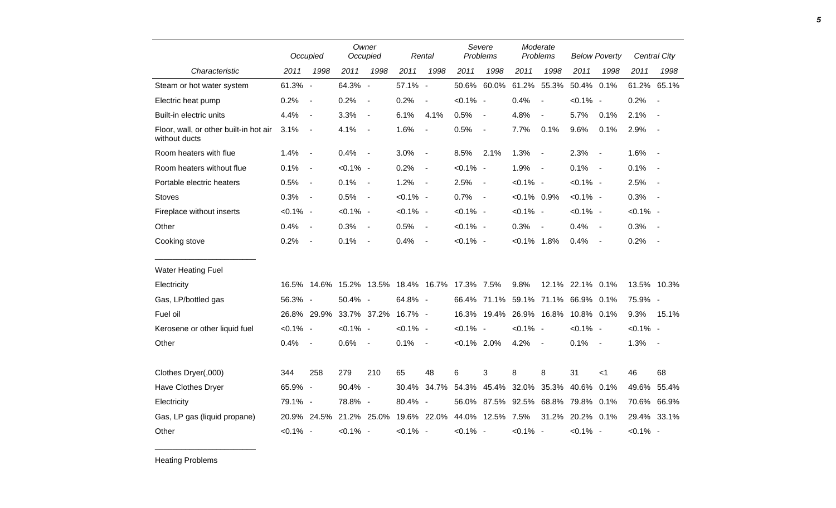|                                                         |             | Occupied                 |             | Owner<br>Occupied        |                                    | Rental         | Severe<br>Problems |                          | Moderate<br>Problems |                          | <b>Below Poverty</b> |                          |             | Central City   |
|---------------------------------------------------------|-------------|--------------------------|-------------|--------------------------|------------------------------------|----------------|--------------------|--------------------------|----------------------|--------------------------|----------------------|--------------------------|-------------|----------------|
| Characteristic                                          | 2011        | 1998                     | 2011        | 1998                     | 2011                               | 1998           | 2011               | 1998                     | 2011                 | 1998                     | 2011                 | 1998                     | 2011        | 1998           |
| Steam or hot water system                               | 61.3% -     |                          | 64.3% -     |                          | 57.1% -                            |                |                    | 50.6% 60.0%              | 61.2%                | 55.3%                    | 50.4%                | 0.1%                     | 61.2% 65.1% |                |
| Electric heat pump                                      | 0.2%        | $\sim$                   | 0.2%        | $\overline{\phantom{a}}$ | 0.2%                               | $\blacksquare$ | $< 0.1\%$ -        |                          | 0.4%                 | $\overline{\phantom{a}}$ | $< 0.1\%$ -          |                          | 0.2%        | $\blacksquare$ |
| Built-in electric units                                 | 4.4%        | $\sim$                   | 3.3%        | $\sim$                   | 6.1%                               | 4.1%           | 0.5%               | $\blacksquare$           | 4.8%                 | $\blacksquare$           | 5.7%                 | 0.1%                     | 2.1%        | $\blacksquare$ |
| Floor, wall, or other built-in hot air<br>without ducts | 3.1%        | $\sim$                   | 4.1%        | $\sim$                   | 1.6%                               | $\blacksquare$ | 0.5%               | $\blacksquare$           | 7.7%                 | 0.1%                     | 9.6%                 | 0.1%                     | 2.9%        | $\sim$         |
| Room heaters with flue                                  | 1.4%        | $\sim$                   | 0.4%        | $\sim$                   | 3.0%                               | $\blacksquare$ | 8.5%               | 2.1%                     | 1.3%                 | $\blacksquare$           | 2.3%                 | $\overline{\phantom{a}}$ | 1.6%        | $\sim$         |
| Room heaters without flue                               | 0.1%        | $\sim$                   | $< 0.1\%$ - |                          | 0.2%                               | $\blacksquare$ | $< 0.1\%$ -        |                          | 1.9%                 | $\overline{\phantom{a}}$ | 0.1%                 | $\sim$                   | 0.1%        | $\sim$         |
| Portable electric heaters                               | 0.5%        | $\sim$                   | 0.1%        | $\sim$                   | 1.2%                               | $\blacksquare$ | 2.5%               | $\blacksquare$           | $< 0.1\%$ -          |                          | $< 0.1\%$ -          |                          | 2.5%        | $\sim$         |
| <b>Stoves</b>                                           | 0.3%        | $\sim$                   | 0.5%        | $\sim$                   | $< 0.1\%$ -                        |                | 0.7%               | $\overline{\phantom{a}}$ | $< 0.1\%$ 0.9%       |                          | $< 0.1\%$ -          |                          | 0.3%        | $\overline{a}$ |
| Fireplace without inserts                               | $< 0.1\%$ - |                          | $< 0.1\%$ - |                          | $< 0.1\%$ -                        |                | $< 0.1\%$ -        |                          | $< 0.1\%$ -          |                          | $< 0.1\%$ -          |                          | $< 0.1\%$ - |                |
| Other                                                   | 0.4%        | $\sim$                   | 0.3%        | $\sim$                   | 0.5%                               | $\blacksquare$ | $< 0.1\%$ -        |                          | 0.3%                 | $\blacksquare$           | 0.4%                 | $\blacksquare$           | 0.3%        | $\sim$         |
| Cooking stove                                           | 0.2%        | $\overline{\phantom{a}}$ | 0.1%        | $\blacksquare$           | 0.4%                               | $\blacksquare$ | $< 0.1\%$ -        |                          | $< 0.1\%$ 1.8%       |                          | 0.4%                 | $\blacksquare$           | 0.2%        | $\sim$         |
| <b>Water Heating Fuel</b>                               |             |                          |             |                          |                                    |                |                    |                          |                      |                          |                      |                          |             |                |
| Electricity                                             |             | 16.5% 14.6%              |             |                          | 15.2% 13.5% 18.4% 16.7% 17.3% 7.5% |                |                    |                          | 9.8%                 |                          | 12.1% 22.1% 0.1%     |                          | 13.5% 10.3% |                |
| Gas, LP/bottled gas                                     | 56.3% -     |                          | 50.4% -     |                          | 64.8% -                            |                |                    | 66.4% 71.1% 59.1% 71.1%  |                      |                          | 66.9% 0.1%           |                          | 75.9% -     |                |
| Fuel oil                                                |             | 26.8% 29.9%              |             | 33.7% 37.2%              | 16.7% -                            |                |                    | 16.3% 19.4% 26.9% 16.8%  |                      |                          | 10.8% 0.1%           |                          | 9.3%        | 15.1%          |
| Kerosene or other liquid fuel                           | $< 0.1\%$ - |                          | $< 0.1\%$ - |                          | $< 0.1\%$ -                        |                | $< 0.1\%$ -        |                          | $< 0.1\%$ -          |                          | $< 0.1\%$ -          |                          | $< 0.1\%$ - |                |
| Other                                                   | 0.4%        | $\sim$                   | 0.6%        | $\sim$                   | 0.1%                               | $\blacksquare$ | $< 0.1\%$ 2.0%     |                          | 4.2%                 | $\blacksquare$           | 0.1%                 | $\sim$                   | 1.3%        | $\sim$ $-$     |
| Clothes Dryer(,000)                                     | 344         | 258                      | 279         | 210                      | 65                                 | 48             | 6                  | 3                        | 8                    | 8                        | 31                   | $<$ 1                    | 46          | 68             |
| Have Clothes Dryer                                      | 65.9% -     |                          | 90.4% -     |                          | 30.4%                              | 34.7%          | 54.3%              | 45.4%                    | 32.0%                | 35.3%                    | 40.6%                | 0.1%                     | 49.6%       | 55.4%          |
| Electricity                                             | 79.1% -     |                          | 78.8% -     |                          | 80.4% -                            |                |                    | 56.0% 87.5% 92.5% 68.8%  |                      |                          | 79.8% 0.1%           |                          | 70.6%       | 66.9%          |
| Gas, LP gas (liquid propane)                            |             | 20.9% 24.5%              |             |                          | 21.2% 25.0% 19.6% 22.0%            |                |                    | 44.0% 12.5% 7.5%         |                      |                          | 31.2% 20.2% 0.1%     |                          | 29.4% 33.1% |                |
| Other                                                   | $< 0.1\%$ - |                          | $< 0.1\%$ - |                          | $< 0.1\%$ -                        |                | $< 0.1\%$ -        |                          | $< 0.1\%$ -          |                          | $< 0.1\%$ -          |                          | $< 0.1\%$ - |                |

Heating Problems

\_\_\_\_\_\_\_\_\_\_\_\_\_\_\_\_\_\_\_\_\_\_\_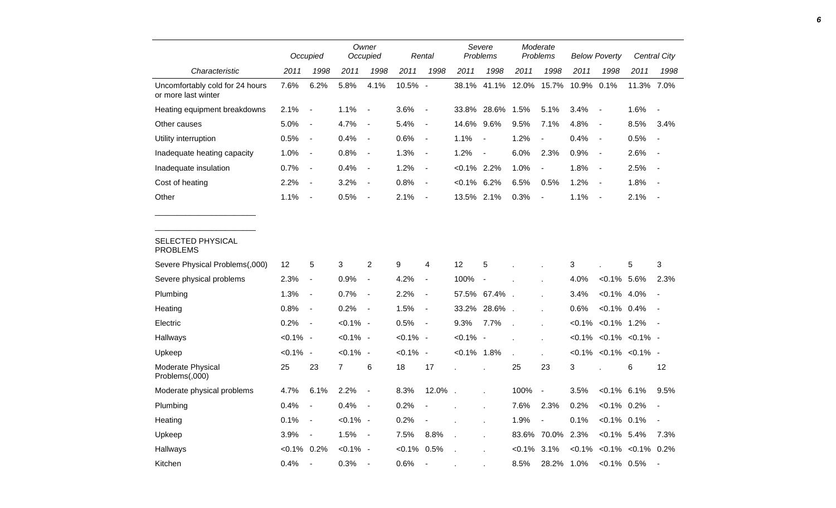|                                                        |             | Occupied                 |             | Owner<br>Occupied        |             | Rental                   |                | Severe<br><b>Problems</b> |              | Moderate<br>Problems     |           | <b>Below Poverty</b>            |                          | Central City             |
|--------------------------------------------------------|-------------|--------------------------|-------------|--------------------------|-------------|--------------------------|----------------|---------------------------|--------------|--------------------------|-----------|---------------------------------|--------------------------|--------------------------|
| Characteristic                                         | 2011        | 1998                     | 2011        | 1998                     | 2011        | 1998                     | 2011           | 1998                      | 2011         | 1998                     | 2011      | 1998                            | 2011                     | 1998                     |
| Uncomfortably cold for 24 hours<br>or more last winter | 7.6%        | 6.2%                     | 5.8%        | 4.1%                     | 10.5% -     |                          | 38.1%          | 41.1%                     | 12.0%        | 15.7%                    | 10.9%     | 0.1%                            | 11.3% 7.0%               |                          |
| Heating equipment breakdowns                           | 2.1%        | $\overline{\phantom{a}}$ | 1.1%        | $\overline{\phantom{a}}$ | 3.6%        | $\overline{\phantom{a}}$ | 33.8%          | 28.6%                     | 1.5%         | 5.1%                     | 3.4%      | $\overline{\phantom{a}}$        | 1.6%                     | $\blacksquare$           |
| Other causes                                           | 5.0%        | $\blacksquare$           | 4.7%        | $\overline{a}$           | 5.4%        | $\overline{\phantom{a}}$ | 14.6%          | 9.6%                      | 9.5%         | 7.1%                     | 4.8%      | $\blacksquare$                  | 8.5%                     | 3.4%                     |
| Utility interruption                                   | 0.5%        | $\overline{\phantom{a}}$ | 0.4%        | $\blacksquare$           | 0.6%        | $\overline{\phantom{a}}$ | 1.1%           | $\blacksquare$            | 1.2%         | $\overline{\phantom{a}}$ | 0.4%      | $\overline{\phantom{a}}$        | 0.5%                     | $\blacksquare$           |
| Inadequate heating capacity                            | 1.0%        | $\blacksquare$           | 0.8%        | $\blacksquare$           | 1.3%        | $\overline{\phantom{a}}$ | 1.2%           | $\blacksquare$            | 6.0%         | 2.3%                     | 0.9%      | $\blacksquare$                  | 2.6%                     | $\overline{\phantom{a}}$ |
| Inadequate insulation                                  | 0.7%        | $\overline{\phantom{a}}$ | 0.4%        | $\overline{\phantom{a}}$ | 1.2%        | $\overline{\phantom{a}}$ | $< 0.1\%$ 2.2% |                           | 1.0%         | $\frac{1}{2}$            | 1.8%      | $\overline{\phantom{a}}$        | 2.5%                     | $\overline{\phantom{a}}$ |
| Cost of heating                                        | 2.2%        | $\overline{\phantom{a}}$ | 3.2%        | $\overline{\phantom{a}}$ | 0.8%        | $\overline{\phantom{a}}$ | $< 0.1\%$ 6.2% |                           | 6.5%         | 0.5%                     | 1.2%      | $\sim$                          | 1.8%                     |                          |
| Other                                                  | 1.1%        | $\blacksquare$           | 0.5%        | $\blacksquare$           | 2.1%        | $\overline{\phantom{a}}$ | 13.5% 2.1%     |                           | 0.3%         |                          | 1.1%      | $\blacksquare$                  | 2.1%                     | $\overline{\phantom{a}}$ |
| SELECTED PHYSICAL<br><b>PROBLEMS</b>                   |             |                          |             |                          |             |                          |                |                           |              |                          |           |                                 |                          |                          |
| Severe Physical Problems(,000)                         | 12          | 5                        | 3           | $\overline{c}$           | 9           | 4                        | 12             | 5                         |              |                          | 3         |                                 | $\sqrt{5}$               | 3                        |
| Severe physical problems                               | 2.3%        | $\blacksquare$           | 0.9%        | $\overline{\phantom{a}}$ | 4.2%        | $\blacksquare$           | 100%           | $\overline{\phantom{a}}$  |              |                          | 4.0%      | $< 0.1\%$ 5.6%                  |                          | 2.3%                     |
| Plumbing                                               | 1.3%        | $\overline{\phantom{a}}$ | 0.7%        | $\blacksquare$           | 2.2%        | $\blacksquare$           | 57.5%          | 67.4%                     |              |                          | 3.4%      | $< 0.1\%$ 4.0%                  |                          |                          |
| Heating                                                | 0.8%        | $\blacksquare$           | 0.2%        | $\overline{\phantom{a}}$ | 1.5%        | $\overline{\phantom{a}}$ | 33.2%          | 28.6%                     |              |                          | 0.6%      | $< 0.1\%$ 0.4%                  |                          |                          |
| Electric                                               | 0.2%        | $\blacksquare$           | $< 0.1\%$ - |                          | 0.5%        | $\blacksquare$           | 9.3%           | 7.7%                      |              | $\overline{a}$           | $< 0.1\%$ | $< 0.1\%$ 1.2%                  |                          | $\sim$                   |
| Hallways                                               | $< 0.1\%$ - |                          | $< 0.1\%$ - |                          | $< 0.1\%$ - |                          | $< 0.1\%$ -    |                           |              | $\mathbf{r}$             |           | $< 0.1\%$ < $0.1\%$ < $0.1\%$ - |                          |                          |
| Upkeep                                                 | $< 0.1\%$ - |                          | $< 0.1\%$ - |                          | $< 0.1\%$ - |                          | $< 0.1\%$ 1.8% |                           | $\mathbf{r}$ |                          |           | $< 0.1\%$ < 0.1% < 0.1% -       |                          |                          |
| Moderate Physical<br>Problems(,000)                    | 25          | 23                       | 7           | 6                        | 18          | 17                       |                |                           | 25           | 23                       | 3         |                                 | 6                        | 12                       |
| Moderate physical problems                             | 4.7%        | 6.1%                     | 2.2%        | $\blacksquare$           | 8.3%        | 12.0%                    |                |                           | 100%         | $\overline{\phantom{a}}$ | 3.5%      | $< 0.1\%$ 6.1%                  |                          | 9.5%                     |
| Plumbing                                               | 0.4%        | $\blacksquare$           | 0.4%        | $\overline{\phantom{a}}$ | 0.2%        |                          |                | $\mathbf{r}$              | 7.6%         | 2.3%                     | 0.2%      | $< 0.1\%$ 0.2%                  |                          |                          |
| Heating                                                | 0.1%        | $\overline{\phantom{a}}$ | $< 0.1\%$ - |                          | 0.2%        | $\overline{\phantom{a}}$ |                |                           | 1.9%         | $\overline{\phantom{a}}$ | 0.1%      | $< 0.1\%$ 0.1%                  |                          | $\overline{\phantom{a}}$ |
| Upkeep                                                 | 3.9%        | $\overline{\phantom{a}}$ | 1.5%        | $\overline{\phantom{a}}$ | 7.5%        | 8.8%                     | $\overline{a}$ |                           | 83.6%        | 70.0%                    | 2.3%      | $<0.1\%$ 5.4%                   |                          | 7.3%                     |
| Hallways                                               | $< 0.1\%$   | 0.2%                     | $< 0.1\%$ - |                          | $< 0.1\%$   | 0.5%                     |                |                           | $< 0.1\%$    | 3.1%                     | $< 0.1\%$ |                                 | $< 0.1\%$ $< 0.1\%$ 0.2% |                          |
| Kitchen                                                | 0.4%        |                          | 0.3%        | $\sim$                   | 0.6%        |                          |                |                           | 8.5%         | 28.2%                    | 1.0%      | $< 0.1\%$ 0.5%                  |                          | $\overline{\phantom{a}}$ |